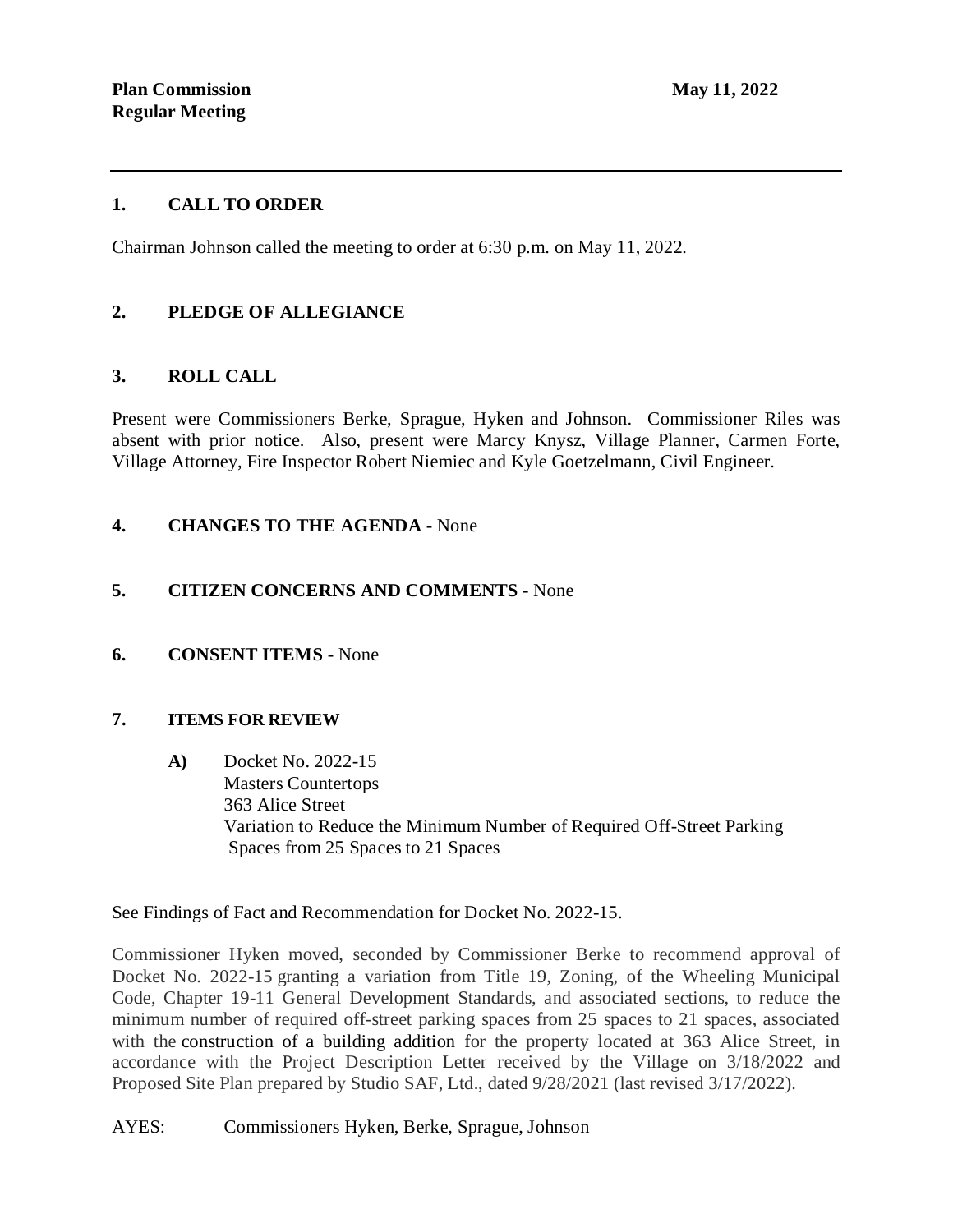## **1. CALL TO ORDER**

Chairman Johnson called the meeting to order at 6:30 p.m. on May 11, 2022.

# **2. PLEDGE OF ALLEGIANCE**

## **3. ROLL CALL**

Present were Commissioners Berke, Sprague, Hyken and Johnson. Commissioner Riles was absent with prior notice. Also, present were Marcy Knysz, Village Planner, Carmen Forte, Village Attorney, Fire Inspector Robert Niemiec and Kyle Goetzelmann, Civil Engineer.

## **4. CHANGES TO THE AGENDA** - None

## **5. CITIZEN CONCERNS AND COMMENTS** - None

#### **6. CONSENT ITEMS** - None

#### **7. ITEMS FOR REVIEW**

**A)** Docket No. 2022-15 Masters Countertops 363 Alice Street Variation to Reduce the Minimum Number of Required Off-Street Parking Spaces from 25 Spaces to 21 Spaces

See Findings of Fact and Recommendation for Docket No. 2022-15.

Commissioner Hyken moved, seconded by Commissioner Berke to recommend approval of Docket No. 2022-15 granting a variation from Title 19, Zoning, of the Wheeling Municipal Code, Chapter 19-11 General Development Standards, and associated sections, to reduce the minimum number of required off-street parking spaces from 25 spaces to 21 spaces, associated with the construction of a building addition for the property located at 363 Alice Street, in accordance with the Project Description Letter received by the Village on 3/18/2022 and Proposed Site Plan prepared by Studio SAF, Ltd., dated 9/28/2021 (last revised 3/17/2022).

#### AYES: Commissioners Hyken, Berke, Sprague, Johnson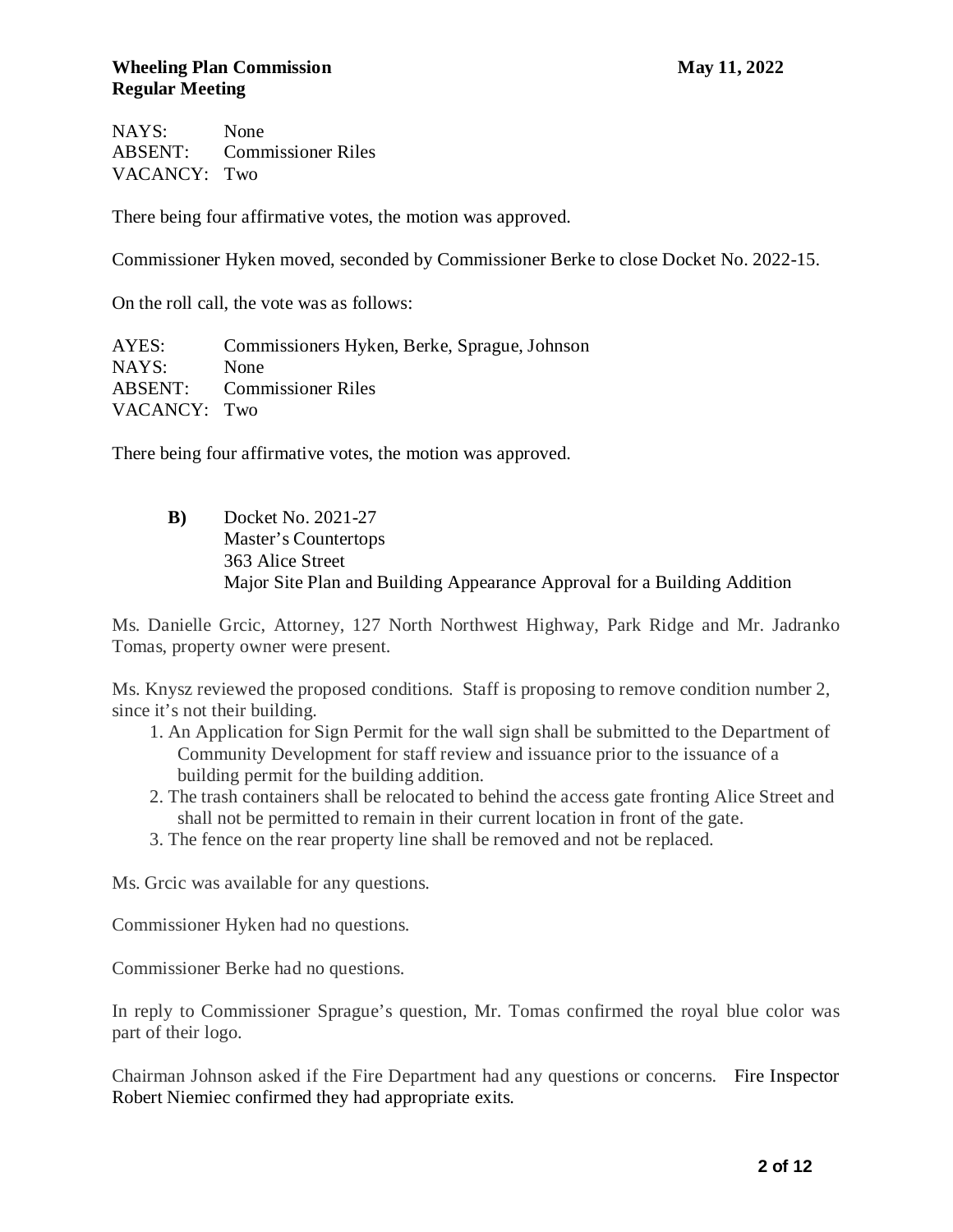NAYS: None ABSENT: Commissioner Riles VACANCY: Two

There being four affirmative votes, the motion was approved.

Commissioner Hyken moved, seconded by Commissioner Berke to close Docket No. 2022-15.

On the roll call, the vote was as follows:

AYES: Commissioners Hyken, Berke, Sprague, Johnson NAYS: None ABSENT: Commissioner Riles VACANCY: Two

There being four affirmative votes, the motion was approved.

**B)** Docket No. 2021-27 Master's Countertops 363 Alice Street Major Site Plan and Building Appearance Approval for a Building Addition

Ms. Danielle Grcic, Attorney, 127 North Northwest Highway, Park Ridge and Mr. Jadranko Tomas, property owner were present.

Ms. Knysz reviewed the proposed conditions. Staff is proposing to remove condition number 2, since it's not their building.

- 1. An Application for Sign Permit for the wall sign shall be submitted to the Department of Community Development for staff review and issuance prior to the issuance of a building permit for the building addition.
- 2. The trash containers shall be relocated to behind the access gate fronting Alice Street and shall not be permitted to remain in their current location in front of the gate.
- 3. The fence on the rear property line shall be removed and not be replaced.

Ms. Grcic was available for any questions.

Commissioner Hyken had no questions.

Commissioner Berke had no questions.

In reply to Commissioner Sprague's question, Mr. Tomas confirmed the royal blue color was part of their logo.

Chairman Johnson asked if the Fire Department had any questions or concerns. Fire Inspector Robert Niemiec confirmed they had appropriate exits.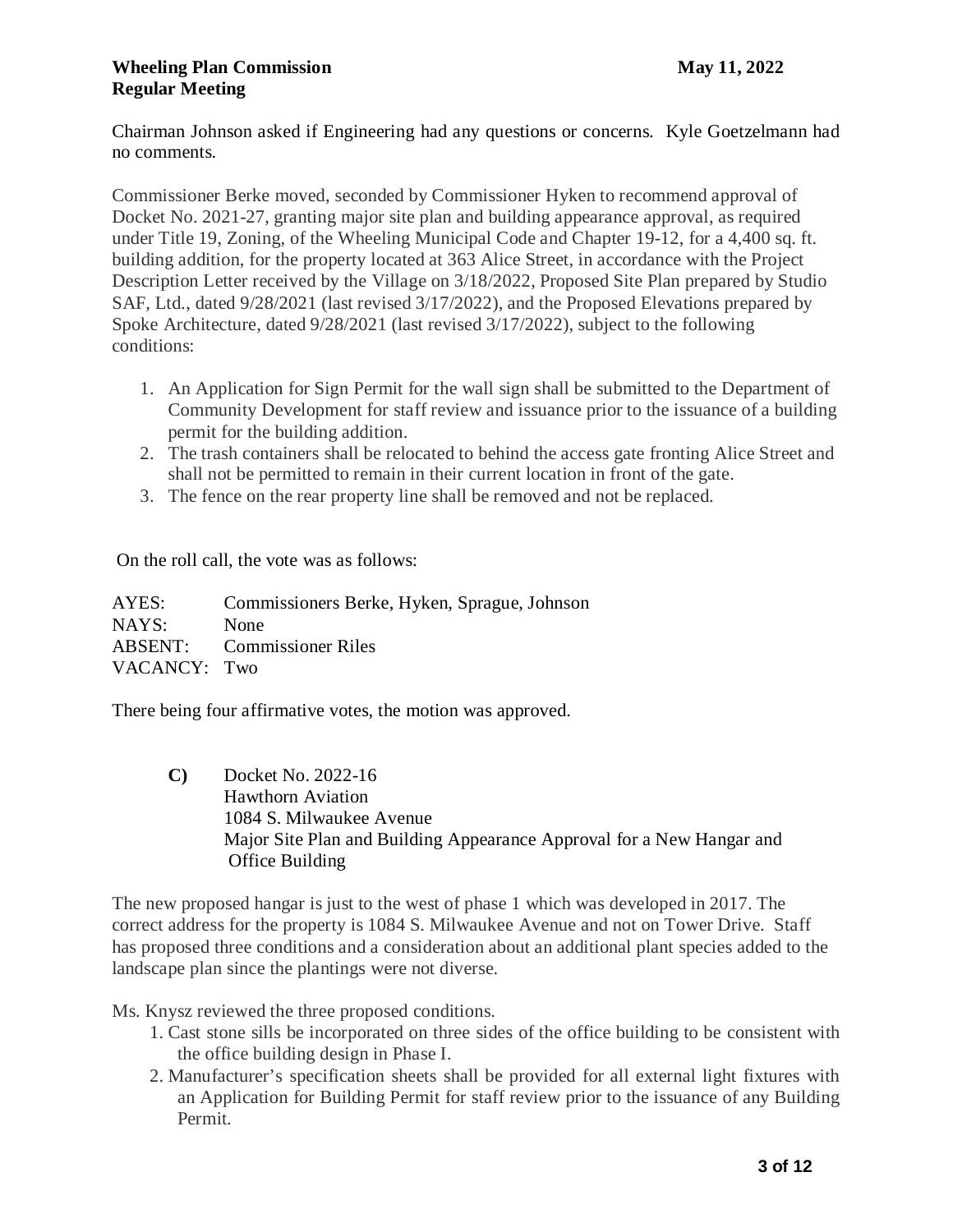Chairman Johnson asked if Engineering had any questions or concerns. Kyle Goetzelmann had no comments.

Commissioner Berke moved, seconded by Commissioner Hyken to recommend approval of Docket No. 2021-27, granting major site plan and building appearance approval, as required under Title 19, Zoning, of the Wheeling Municipal Code and Chapter 19-12, for a 4,400 sq. ft. building addition, for the property located at 363 Alice Street, in accordance with the Project Description Letter received by the Village on 3/18/2022, Proposed Site Plan prepared by Studio SAF, Ltd., dated 9/28/2021 (last revised 3/17/2022), and the Proposed Elevations prepared by Spoke Architecture, dated 9/28/2021 (last revised 3/17/2022), subject to the following conditions:

- 1. An Application for Sign Permit for the wall sign shall be submitted to the Department of Community Development for staff review and issuance prior to the issuance of a building permit for the building addition.
- 2. The trash containers shall be relocated to behind the access gate fronting Alice Street and shall not be permitted to remain in their current location in front of the gate.
- 3. The fence on the rear property line shall be removed and not be replaced.

On the roll call, the vote was as follows:

AYES: Commissioners Berke, Hyken, Sprague, Johnson NAYS: None ABSENT: Commissioner Riles VACANCY: Two

There being four affirmative votes, the motion was approved.

**C)** Docket No. 2022-16 Hawthorn Aviation 1084 S. Milwaukee Avenue Major Site Plan and Building Appearance Approval for a New Hangar and Office Building

The new proposed hangar is just to the west of phase 1 which was developed in 2017. The correct address for the property is 1084 S. Milwaukee Avenue and not on Tower Drive. Staff has proposed three conditions and a consideration about an additional plant species added to the landscape plan since the plantings were not diverse.

Ms. Knysz reviewed the three proposed conditions.

- 1. Cast stone sills be incorporated on three sides of the office building to be consistent with the office building design in Phase I.
- 2. Manufacturer's specification sheets shall be provided for all external light fixtures with an Application for Building Permit for staff review prior to the issuance of any Building Permit.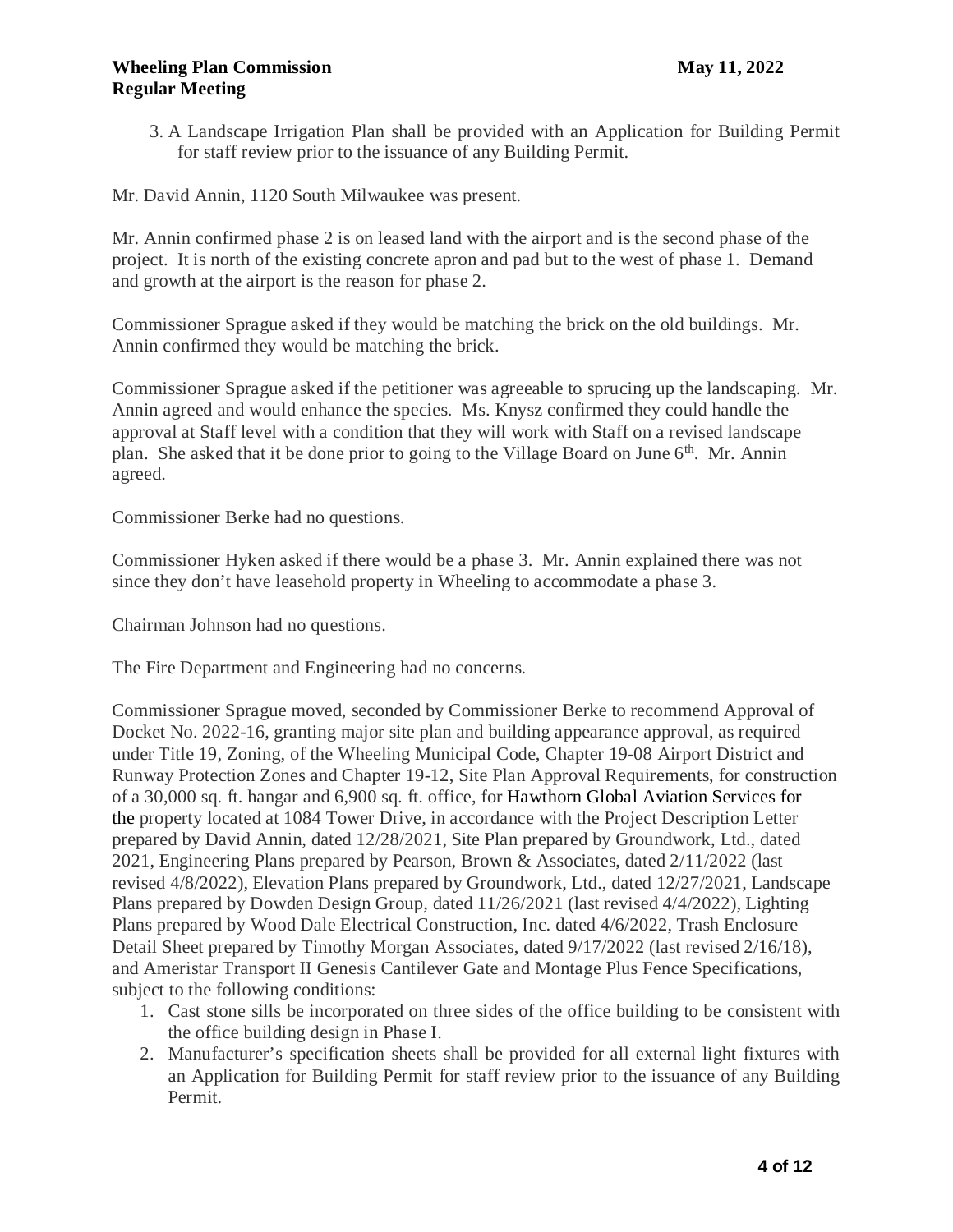## **May 11, 2022 May 11, 2022 Regular Meeting**

3. A Landscape Irrigation Plan shall be provided with an Application for Building Permit for staff review prior to the issuance of any Building Permit.

Mr. David Annin, 1120 South Milwaukee was present.

Mr. Annin confirmed phase 2 is on leased land with the airport and is the second phase of the project. It is north of the existing concrete apron and pad but to the west of phase 1. Demand and growth at the airport is the reason for phase 2.

Commissioner Sprague asked if they would be matching the brick on the old buildings. Mr. Annin confirmed they would be matching the brick.

Commissioner Sprague asked if the petitioner was agreeable to sprucing up the landscaping. Mr. Annin agreed and would enhance the species. Ms. Knysz confirmed they could handle the approval at Staff level with a condition that they will work with Staff on a revised landscape plan. She asked that it be done prior to going to the Village Board on June 6<sup>th</sup>. Mr. Annin agreed.

Commissioner Berke had no questions.

Commissioner Hyken asked if there would be a phase 3. Mr. Annin explained there was not since they don't have leasehold property in Wheeling to accommodate a phase 3.

Chairman Johnson had no questions.

The Fire Department and Engineering had no concerns.

Commissioner Sprague moved, seconded by Commissioner Berke to recommend Approval of Docket No. 2022-16, granting major site plan and building appearance approval, as required under Title 19, Zoning, of the Wheeling Municipal Code, Chapter 19-08 Airport District and Runway Protection Zones and Chapter 19-12, Site Plan Approval Requirements, for construction of a 30,000 sq. ft. hangar and 6,900 sq. ft. office, for Hawthorn Global Aviation Services for the property located at 1084 Tower Drive, in accordance with the Project Description Letter prepared by David Annin, dated 12/28/2021, Site Plan prepared by Groundwork, Ltd., dated 2021, Engineering Plans prepared by Pearson, Brown & Associates, dated 2/11/2022 (last revised 4/8/2022), Elevation Plans prepared by Groundwork, Ltd., dated 12/27/2021, Landscape Plans prepared by Dowden Design Group, dated 11/26/2021 (last revised 4/4/2022), Lighting Plans prepared by Wood Dale Electrical Construction, Inc. dated 4/6/2022, Trash Enclosure Detail Sheet prepared by Timothy Morgan Associates, dated  $9/17/2022$  (last revised  $2/16/18$ ), and Ameristar Transport II Genesis Cantilever Gate and Montage Plus Fence Specifications, subject to the following conditions:

- 1. Cast stone sills be incorporated on three sides of the office building to be consistent with the office building design in Phase I.
- 2. Manufacturer's specification sheets shall be provided for all external light fixtures with an Application for Building Permit for staff review prior to the issuance of any Building Permit.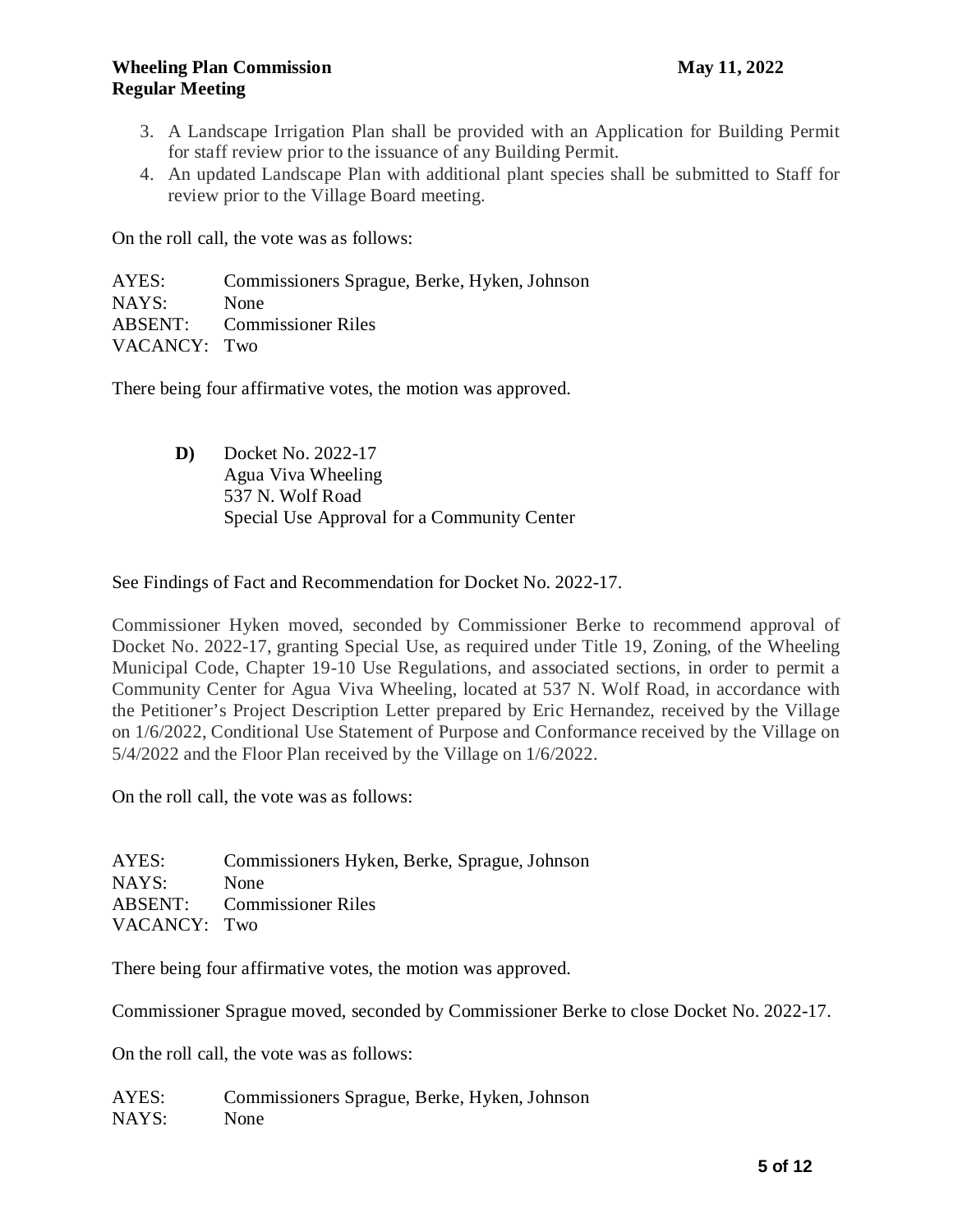- 3. A Landscape Irrigation Plan shall be provided with an Application for Building Permit for staff review prior to the issuance of any Building Permit.
- 4. An updated Landscape Plan with additional plant species shall be submitted to Staff for review prior to the Village Board meeting.

On the roll call, the vote was as follows:

AYES: Commissioners Sprague, Berke, Hyken, Johnson NAYS: None ABSENT: Commissioner Riles VACANCY: Two

There being four affirmative votes, the motion was approved.

**D)** Docket No. 2022-17 Agua Viva Wheeling 537 N. Wolf Road Special Use Approval for a Community Center

See Findings of Fact and Recommendation for Docket No. 2022-17.

Commissioner Hyken moved, seconded by Commissioner Berke to recommend approval of Docket No. 2022-17, granting Special Use, as required under Title 19, Zoning, of the Wheeling Municipal Code, Chapter 19-10 Use Regulations, and associated sections, in order to permit a Community Center for Agua Viva Wheeling, located at 537 N. Wolf Road, in accordance with the Petitioner's Project Description Letter prepared by Eric Hernandez, received by the Village on 1/6/2022, Conditional Use Statement of Purpose and Conformance received by the Village on 5/4/2022 and the Floor Plan received by the Village on 1/6/2022.

On the roll call, the vote was as follows:

AYES: Commissioners Hyken, Berke, Sprague, Johnson NAYS: None ABSENT: Commissioner Riles VACANCY: Two

There being four affirmative votes, the motion was approved.

Commissioner Sprague moved, seconded by Commissioner Berke to close Docket No. 2022-17.

On the roll call, the vote was as follows:

AYES: Commissioners Sprague, Berke, Hyken, Johnson NAYS: None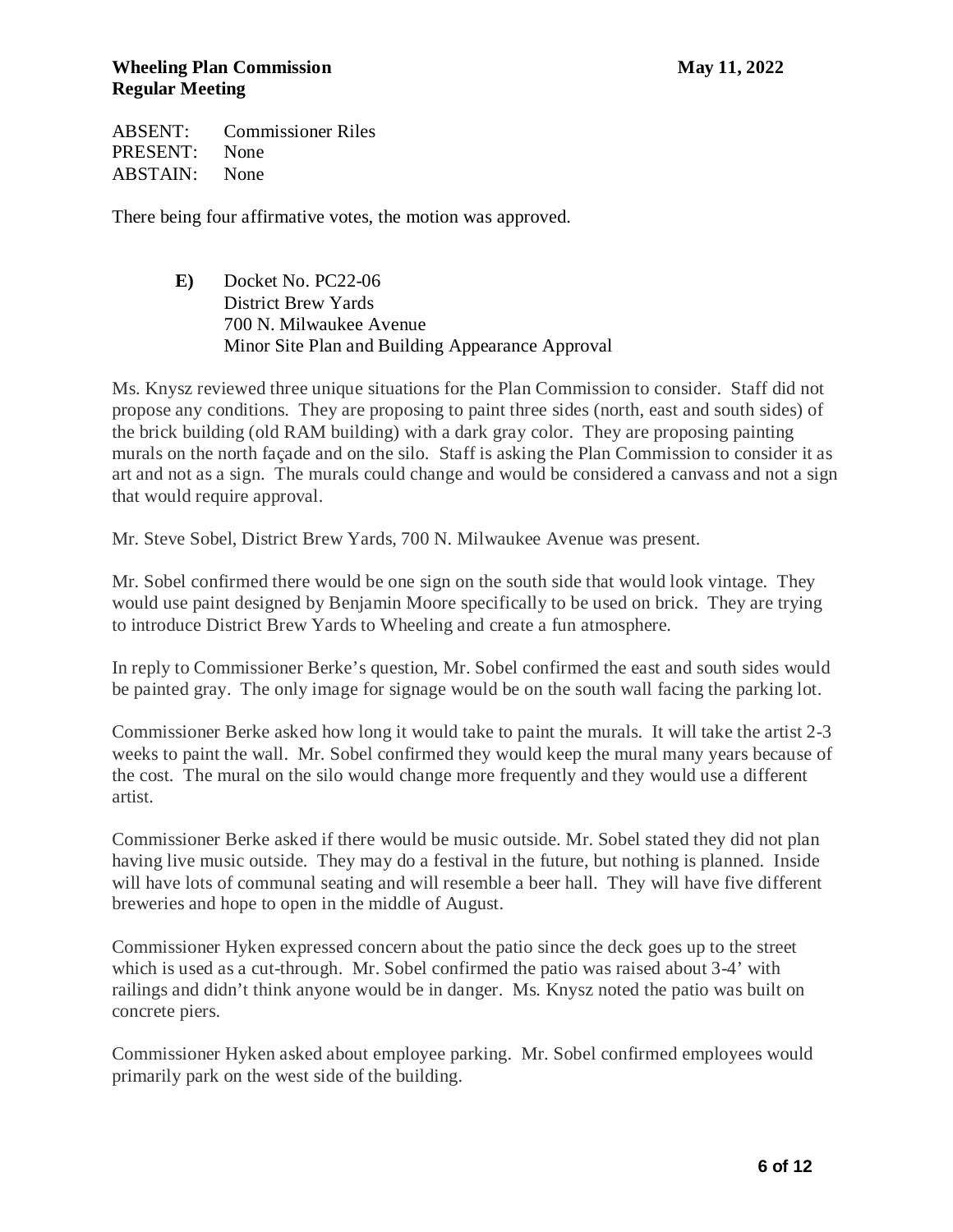# **May 11, 2022 May 11, 2022 Regular Meeting**

ABSENT: Commissioner Riles PRESENT: None ABSTAIN: None

There being four affirmative votes, the motion was approved.

**E)** Docket No. PC22-06 District Brew Yards 700 N. Milwaukee Avenue Minor Site Plan and Building Appearance Approval

Ms. Knysz reviewed three unique situations for the Plan Commission to consider. Staff did not propose any conditions. They are proposing to paint three sides (north, east and south sides) of the brick building (old RAM building) with a dark gray color. They are proposing painting murals on the north façade and on the silo. Staff is asking the Plan Commission to consider it as art and not as a sign. The murals could change and would be considered a canvass and not a sign that would require approval.

Mr. Steve Sobel, District Brew Yards, 700 N. Milwaukee Avenue was present.

Mr. Sobel confirmed there would be one sign on the south side that would look vintage. They would use paint designed by Benjamin Moore specifically to be used on brick. They are trying to introduce District Brew Yards to Wheeling and create a fun atmosphere.

In reply to Commissioner Berke's question, Mr. Sobel confirmed the east and south sides would be painted gray. The only image for signage would be on the south wall facing the parking lot.

Commissioner Berke asked how long it would take to paint the murals. It will take the artist 2-3 weeks to paint the wall. Mr. Sobel confirmed they would keep the mural many years because of the cost. The mural on the silo would change more frequently and they would use a different artist.

Commissioner Berke asked if there would be music outside. Mr. Sobel stated they did not plan having live music outside. They may do a festival in the future, but nothing is planned. Inside will have lots of communal seating and will resemble a beer hall. They will have five different breweries and hope to open in the middle of August.

Commissioner Hyken expressed concern about the patio since the deck goes up to the street which is used as a cut-through. Mr. Sobel confirmed the patio was raised about 3-4' with railings and didn't think anyone would be in danger. Ms. Knysz noted the patio was built on concrete piers.

Commissioner Hyken asked about employee parking. Mr. Sobel confirmed employees would primarily park on the west side of the building.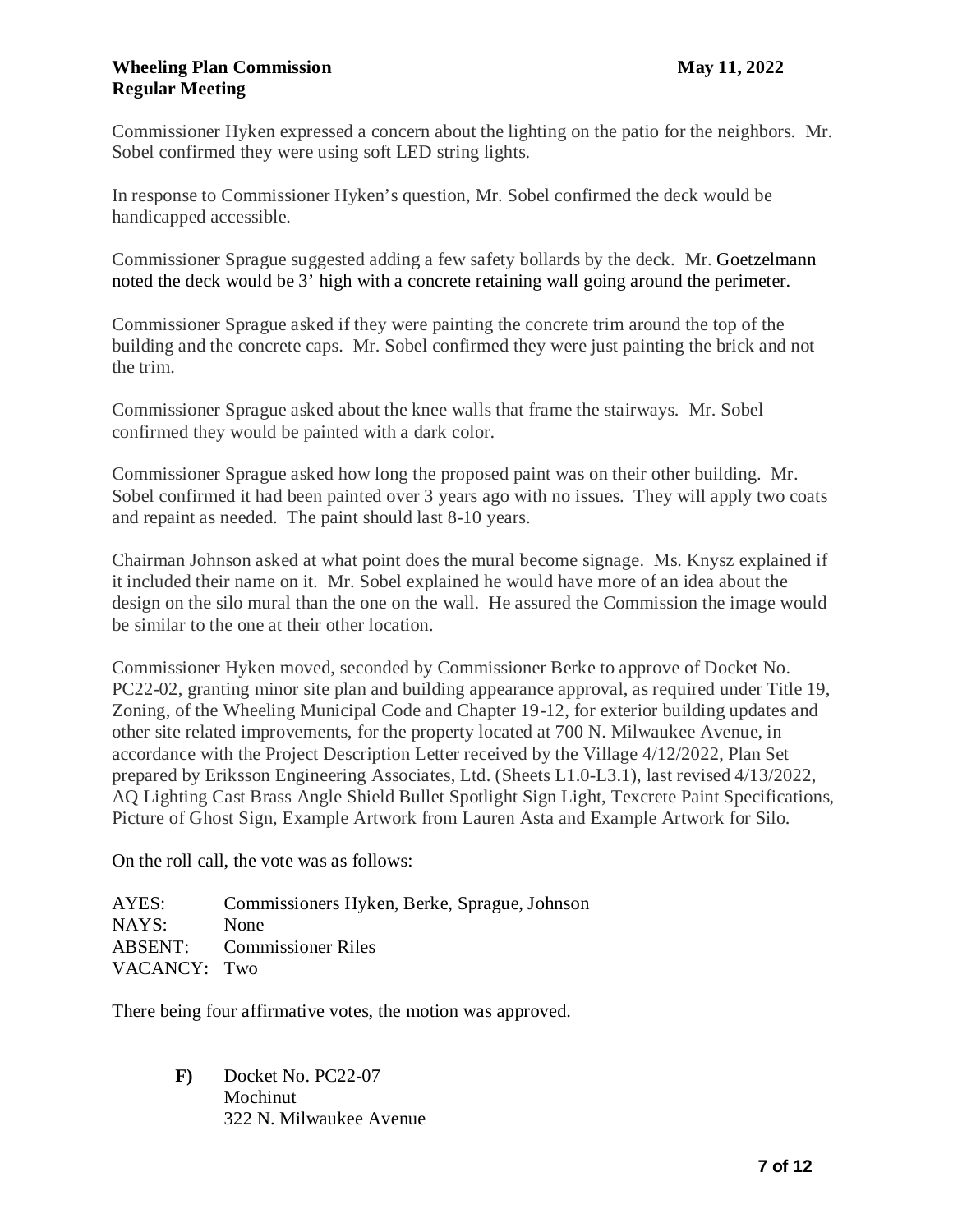Commissioner Hyken expressed a concern about the lighting on the patio for the neighbors. Mr. Sobel confirmed they were using soft LED string lights.

In response to Commissioner Hyken's question, Mr. Sobel confirmed the deck would be handicapped accessible.

Commissioner Sprague suggested adding a few safety bollards by the deck. Mr. Goetzelmann noted the deck would be 3' high with a concrete retaining wall going around the perimeter.

Commissioner Sprague asked if they were painting the concrete trim around the top of the building and the concrete caps. Mr. Sobel confirmed they were just painting the brick and not the trim.

Commissioner Sprague asked about the knee walls that frame the stairways. Mr. Sobel confirmed they would be painted with a dark color.

Commissioner Sprague asked how long the proposed paint was on their other building. Mr. Sobel confirmed it had been painted over 3 years ago with no issues. They will apply two coats and repaint as needed. The paint should last 8-10 years.

Chairman Johnson asked at what point does the mural become signage. Ms. Knysz explained if it included their name on it. Mr. Sobel explained he would have more of an idea about the design on the silo mural than the one on the wall. He assured the Commission the image would be similar to the one at their other location.

Commissioner Hyken moved, seconded by Commissioner Berke to approve of Docket No. PC22-02, granting minor site plan and building appearance approval, as required under Title 19, Zoning, of the Wheeling Municipal Code and Chapter 19-12, for exterior building updates and other site related improvements, for the property located at 700 N. Milwaukee Avenue, in accordance with the Project Description Letter received by the Village 4/12/2022, Plan Set prepared by Eriksson Engineering Associates, Ltd. (Sheets L1.0-L3.1), last revised 4/13/2022, AQ Lighting Cast Brass Angle Shield Bullet Spotlight Sign Light, Texcrete Paint Specifications, Picture of Ghost Sign, Example Artwork from Lauren Asta and Example Artwork for Silo.

On the roll call, the vote was as follows:

AYES: Commissioners Hyken, Berke, Sprague, Johnson NAYS: None ABSENT: Commissioner Riles VACANCY: Two

There being four affirmative votes, the motion was approved.

**F)** Docket No. PC22-07 Mochinut 322 N. Milwaukee Avenue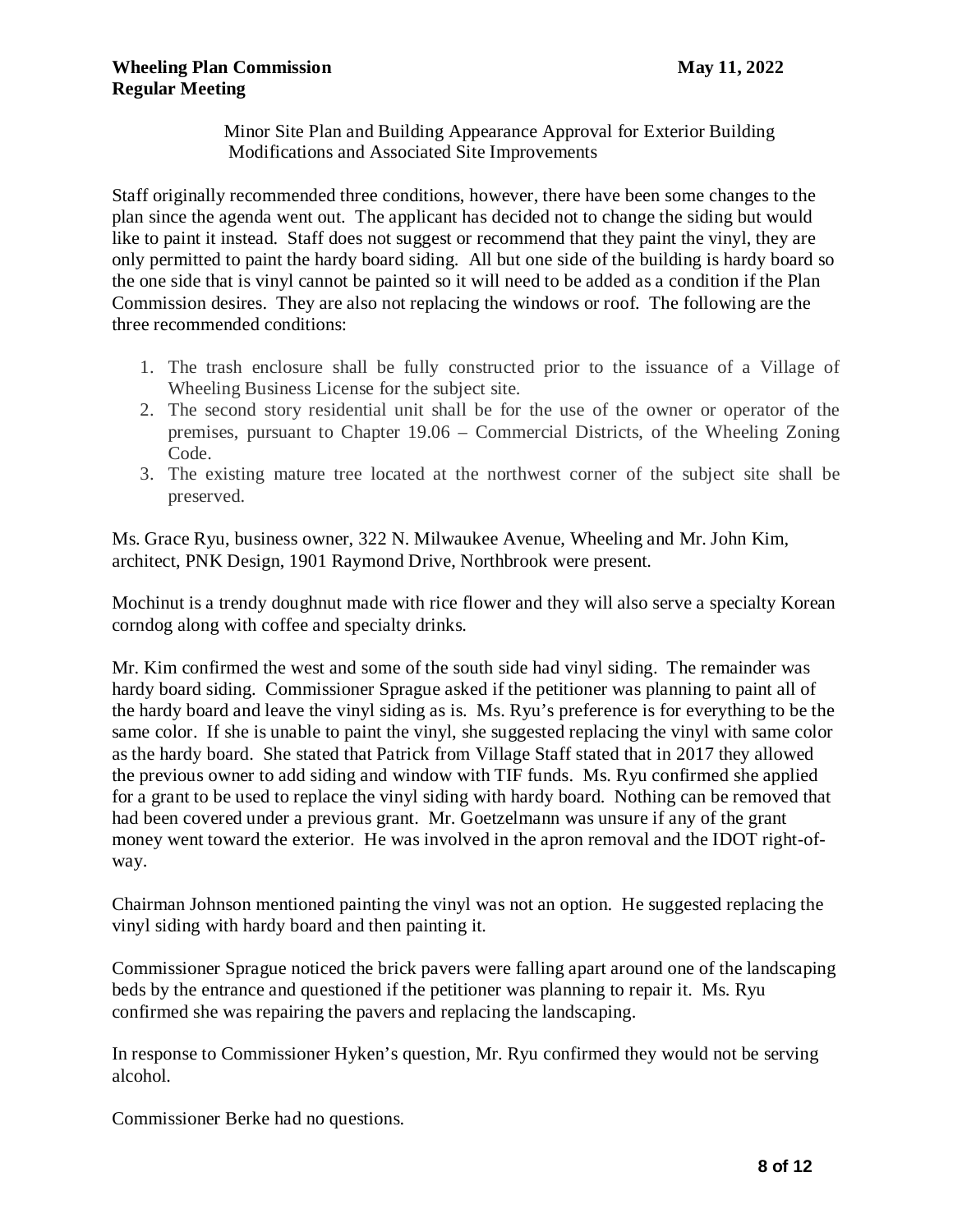Minor Site Plan and Building Appearance Approval for Exterior Building Modifications and Associated Site Improvements

Staff originally recommended three conditions, however, there have been some changes to the plan since the agenda went out. The applicant has decided not to change the siding but would like to paint it instead. Staff does not suggest or recommend that they paint the vinyl, they are only permitted to paint the hardy board siding. All but one side of the building is hardy board so the one side that is vinyl cannot be painted so it will need to be added as a condition if the Plan Commission desires. They are also not replacing the windows or roof. The following are the three recommended conditions:

- 1. The trash enclosure shall be fully constructed prior to the issuance of a Village of Wheeling Business License for the subject site.
- 2. The second story residential unit shall be for the use of the owner or operator of the premises, pursuant to Chapter 19.06 – Commercial Districts, of the Wheeling Zoning Code.
- 3. The existing mature tree located at the northwest corner of the subject site shall be preserved.

Ms. Grace Ryu, business owner, 322 N. Milwaukee Avenue, Wheeling and Mr. John Kim, architect, PNK Design, 1901 Raymond Drive, Northbrook were present.

Mochinut is a trendy doughnut made with rice flower and they will also serve a specialty Korean corndog along with coffee and specialty drinks.

Mr. Kim confirmed the west and some of the south side had vinyl siding. The remainder was hardy board siding. Commissioner Sprague asked if the petitioner was planning to paint all of the hardy board and leave the vinyl siding as is. Ms. Ryu's preference is for everything to be the same color. If she is unable to paint the vinyl, she suggested replacing the vinyl with same color as the hardy board. She stated that Patrick from Village Staff stated that in 2017 they allowed the previous owner to add siding and window with TIF funds. Ms. Ryu confirmed she applied for a grant to be used to replace the vinyl siding with hardy board. Nothing can be removed that had been covered under a previous grant. Mr. Goetzelmann was unsure if any of the grant money went toward the exterior. He was involved in the apron removal and the IDOT right-ofway.

Chairman Johnson mentioned painting the vinyl was not an option. He suggested replacing the vinyl siding with hardy board and then painting it.

Commissioner Sprague noticed the brick pavers were falling apart around one of the landscaping beds by the entrance and questioned if the petitioner was planning to repair it. Ms. Ryu confirmed she was repairing the pavers and replacing the landscaping.

In response to Commissioner Hyken's question, Mr. Ryu confirmed they would not be serving alcohol.

Commissioner Berke had no questions.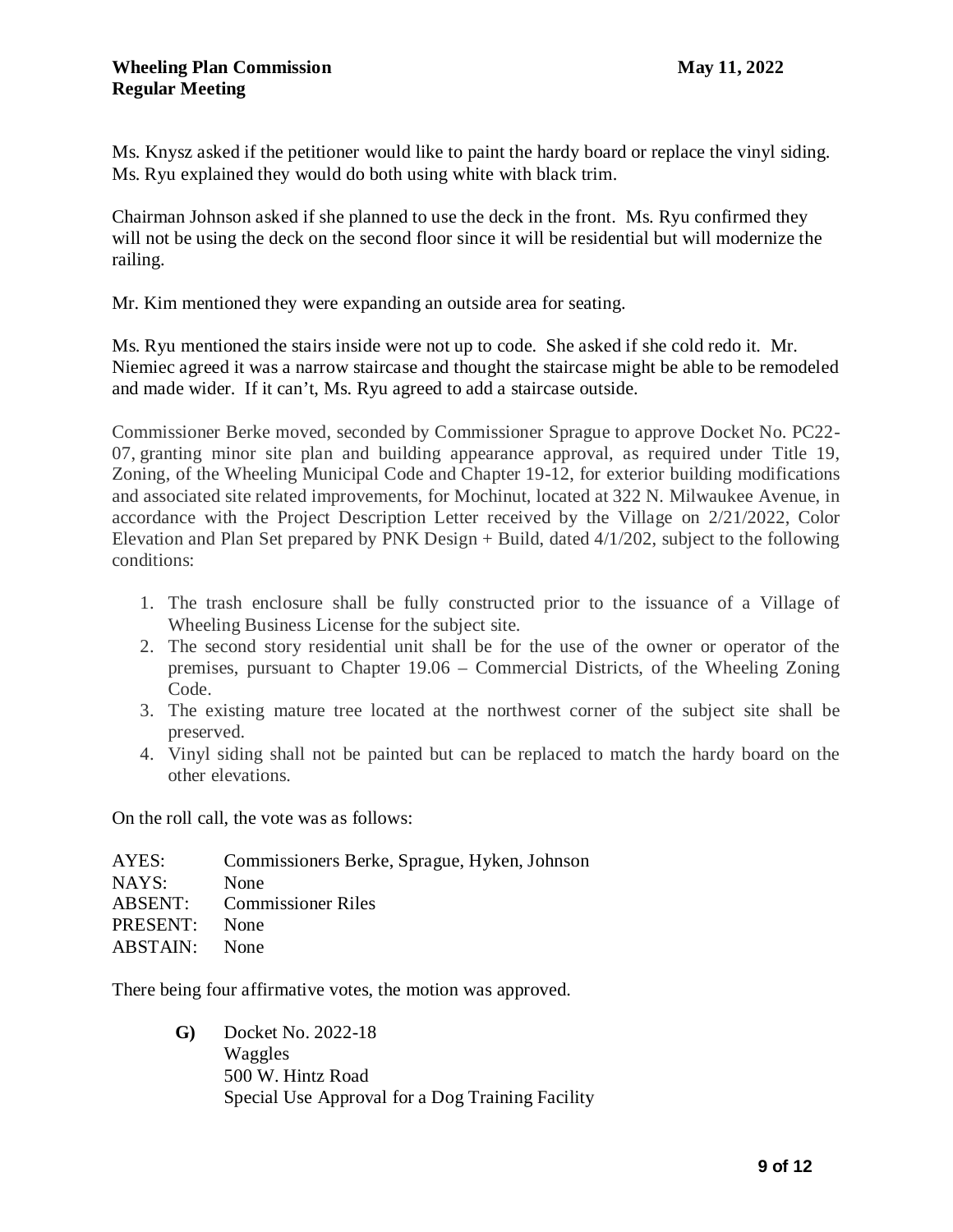Ms. Knysz asked if the petitioner would like to paint the hardy board or replace the vinyl siding. Ms. Ryu explained they would do both using white with black trim.

Chairman Johnson asked if she planned to use the deck in the front. Ms. Ryu confirmed they will not be using the deck on the second floor since it will be residential but will modernize the railing.

Mr. Kim mentioned they were expanding an outside area for seating.

Ms. Ryu mentioned the stairs inside were not up to code. She asked if she cold redo it. Mr. Niemiec agreed it was a narrow staircase and thought the staircase might be able to be remodeled and made wider. If it can't, Ms. Ryu agreed to add a staircase outside.

Commissioner Berke moved, seconded by Commissioner Sprague to approve Docket No. PC22- 07, granting minor site plan and building appearance approval, as required under Title 19, Zoning, of the Wheeling Municipal Code and Chapter 19-12, for exterior building modifications and associated site related improvements, for Mochinut, located at 322 N. Milwaukee Avenue, in accordance with the Project Description Letter received by the Village on 2/21/2022, Color Elevation and Plan Set prepared by PNK Design + Build, dated 4/1/202, subject to the following conditions:

- 1. The trash enclosure shall be fully constructed prior to the issuance of a Village of Wheeling Business License for the subject site.
- 2. The second story residential unit shall be for the use of the owner or operator of the premises, pursuant to Chapter 19.06 – Commercial Districts, of the Wheeling Zoning Code.
- 3. The existing mature tree located at the northwest corner of the subject site shall be preserved.
- 4. Vinyl siding shall not be painted but can be replaced to match the hardy board on the other elevations.

On the roll call, the vote was as follows:

| AYES:    | Commissioners Berke, Sprague, Hyken, Johnson |
|----------|----------------------------------------------|
| NAYS:    | None                                         |
|          | <b>ABSENT:</b> Commissioner Riles            |
| PRESENT: | None                                         |
| ABSTAIN: | <b>None</b>                                  |

There being four affirmative votes, the motion was approved.

**G)** Docket No. 2022-18 Waggles 500 W. Hintz Road Special Use Approval for a Dog Training Facility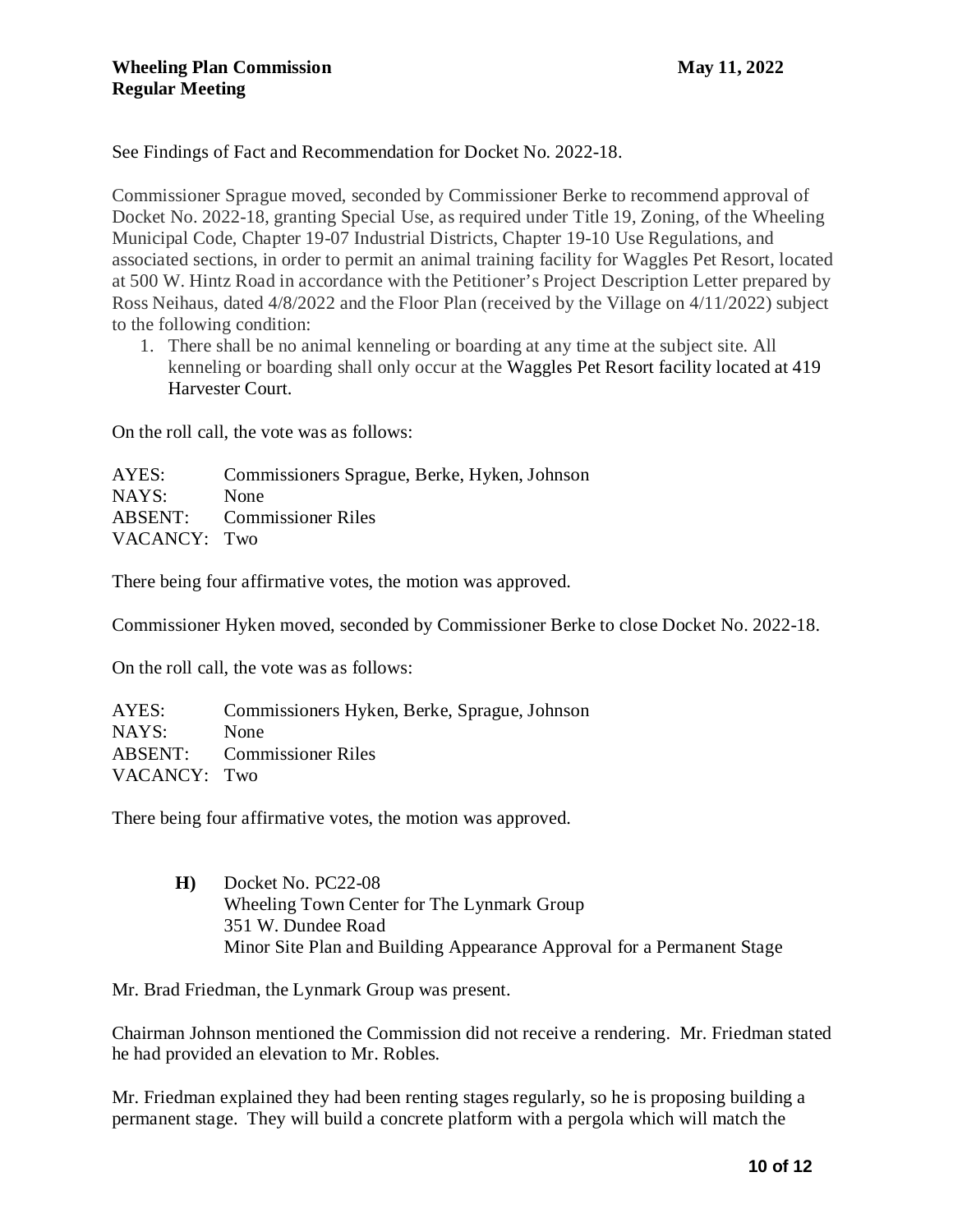See Findings of Fact and Recommendation for Docket No. 2022-18.

Commissioner Sprague moved, seconded by Commissioner Berke to recommend approval of Docket No. 2022-18, granting Special Use, as required under Title 19, Zoning, of the Wheeling Municipal Code, Chapter 19-07 Industrial Districts, Chapter 19-10 Use Regulations, and associated sections, in order to permit an animal training facility for Waggles Pet Resort, located at 500 W. Hintz Road in accordance with the Petitioner's Project Description Letter prepared by Ross Neihaus, dated 4/8/2022 and the Floor Plan (received by the Village on 4/11/2022) subject to the following condition:

1. There shall be no animal kenneling or boarding at any time at the subject site. All kenneling or boarding shall only occur at the Waggles Pet Resort facility located at 419 Harvester Court.

On the roll call, the vote was as follows:

AYES: Commissioners Sprague, Berke, Hyken, Johnson NAYS: None ABSENT: Commissioner Riles VACANCY: Two

There being four affirmative votes, the motion was approved.

Commissioner Hyken moved, seconded by Commissioner Berke to close Docket No. 2022-18.

On the roll call, the vote was as follows:

| AYES:        | Commissioners Hyken, Berke, Sprague, Johnson |
|--------------|----------------------------------------------|
| NAYS:        | None                                         |
|              | <b>ABSENT:</b> Commissioner Riles            |
| VACANCY: Two |                                              |

There being four affirmative votes, the motion was approved.

**H)** Docket No. PC22-08 Wheeling Town Center for The Lynmark Group 351 W. Dundee Road Minor Site Plan and Building Appearance Approval for a Permanent Stage

Mr. Brad Friedman, the Lynmark Group was present.

Chairman Johnson mentioned the Commission did not receive a rendering. Mr. Friedman stated he had provided an elevation to Mr. Robles.

Mr. Friedman explained they had been renting stages regularly, so he is proposing building a permanent stage. They will build a concrete platform with a pergola which will match the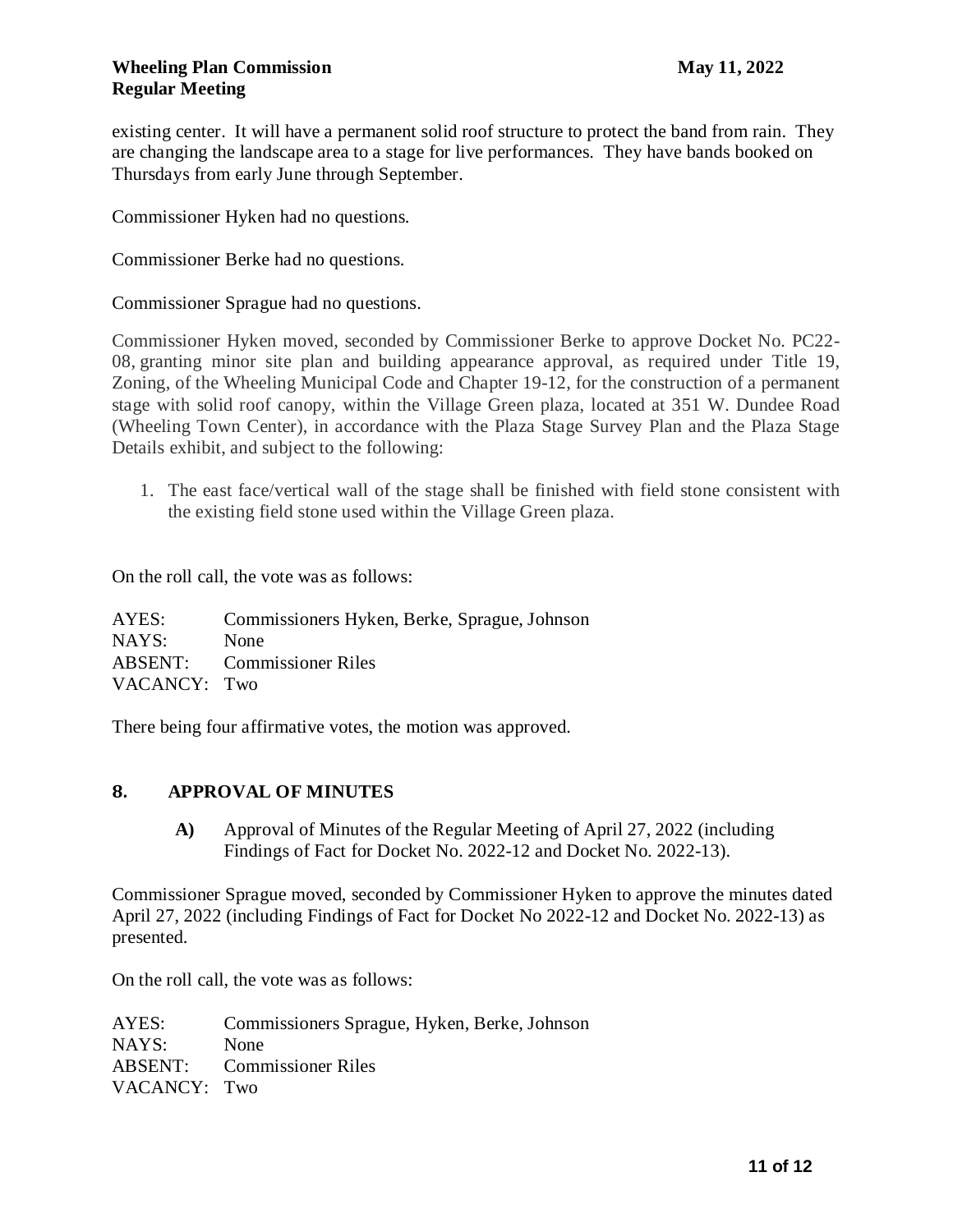existing center. It will have a permanent solid roof structure to protect the band from rain. They are changing the landscape area to a stage for live performances. They have bands booked on Thursdays from early June through September.

Commissioner Hyken had no questions.

Commissioner Berke had no questions.

Commissioner Sprague had no questions.

Commissioner Hyken moved, seconded by Commissioner Berke to approve Docket No. PC22- 08, granting minor site plan and building appearance approval, as required under Title 19, Zoning, of the Wheeling Municipal Code and Chapter 19-12, for the construction of a permanent stage with solid roof canopy, within the Village Green plaza, located at 351 W. Dundee Road (Wheeling Town Center), in accordance with the Plaza Stage Survey Plan and the Plaza Stage Details exhibit, and subject to the following:

1. The east face/vertical wall of the stage shall be finished with field stone consistent with the existing field stone used within the Village Green plaza.

On the roll call, the vote was as follows:

AYES: Commissioners Hyken, Berke, Sprague, Johnson NAYS: None ABSENT: Commissioner Riles VACANCY: Two

There being four affirmative votes, the motion was approved.

#### **8. APPROVAL OF MINUTES**

**A)** Approval of Minutes of the Regular Meeting of April 27, 2022 (including Findings of Fact for Docket No. 2022-12 and Docket No. 2022-13).

Commissioner Sprague moved, seconded by Commissioner Hyken to approve the minutes dated April 27, 2022 (including Findings of Fact for Docket No 2022-12 and Docket No. 2022-13) as presented.

On the roll call, the vote was as follows:

AYES: Commissioners Sprague, Hyken, Berke, Johnson NAYS: None ABSENT: Commissioner Riles VACANCY: Two